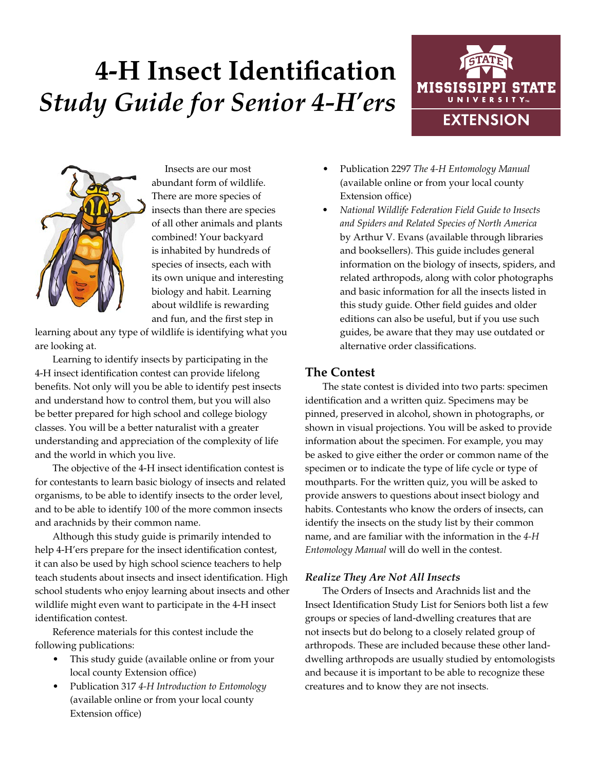# **4-H Insect Identification** *Study Guide for Senior 4-H'ers*





Insects are our most abundant form of wildlife. There are more species of insects than there are species of all other animals and plants combined! Your backyard is inhabited by hundreds of species of insects, each with its own unique and interesting biology and habit. Learning about wildlife is rewarding and fun, and the first step in

learning about any type of wildlife is identifying what you are looking at.

Learning to identify insects by participating in the 4-H insect identification contest can provide lifelong benefits. Not only will you be able to identify pest insects and understand how to control them, but you will also be better prepared for high school and college biology classes. You will be a better naturalist with a greater understanding and appreciation of the complexity of life and the world in which you live.

The objective of the 4-H insect identification contest is for contestants to learn basic biology of insects and related organisms, to be able to identify insects to the order level, and to be able to identify 100 of the more common insects and arachnids by their common name.

Although this study guide is primarily intended to help 4-H'ers prepare for the insect identification contest, it can also be used by high school science teachers to help teach students about insects and insect identification. High school students who enjoy learning about insects and other wildlife might even want to participate in the 4-H insect identification contest.

Reference materials for this contest include the following publications:

- This study guide (available online or from your local county Extension office)
- Publication 317 *4-H Introduction to Entomology* (available online or from your local county Extension office)
- Publication 2297 *The 4-H Entomology Manual* (available online or from your local county Extension office)
- *• National Wildlife Federation Field Guide to Insects and Spiders and Related Species of North America* by Arthur V. Evans (available through libraries and booksellers). This guide includes general information on the biology of insects, spiders, and related arthropods, along with color photographs and basic information for all the insects listed in this study guide. Other field guides and older editions can also be useful, but if you use such guides, be aware that they may use outdated or alternative order classifications.

# **The Contest**

The state contest is divided into two parts: specimen identification and a written quiz. Specimens may be pinned, preserved in alcohol, shown in photographs, or shown in visual projections. You will be asked to provide information about the specimen. For example, you may be asked to give either the order or common name of the specimen or to indicate the type of life cycle or type of mouthparts. For the written quiz, you will be asked to provide answers to questions about insect biology and habits. Contestants who know the orders of insects, can identify the insects on the study list by their common name, and are familiar with the information in the *4-H Entomology Manual* will do well in the contest.

## *Realize They Are Not All Insects*

The Orders of Insects and Arachnids list and the Insect Identification Study List for Seniors both list a few groups or species of land-dwelling creatures that are not insects but do belong to a closely related group of arthropods. These are included because these other landdwelling arthropods are usually studied by entomologists and because it is important to be able to recognize these creatures and to know they are not insects.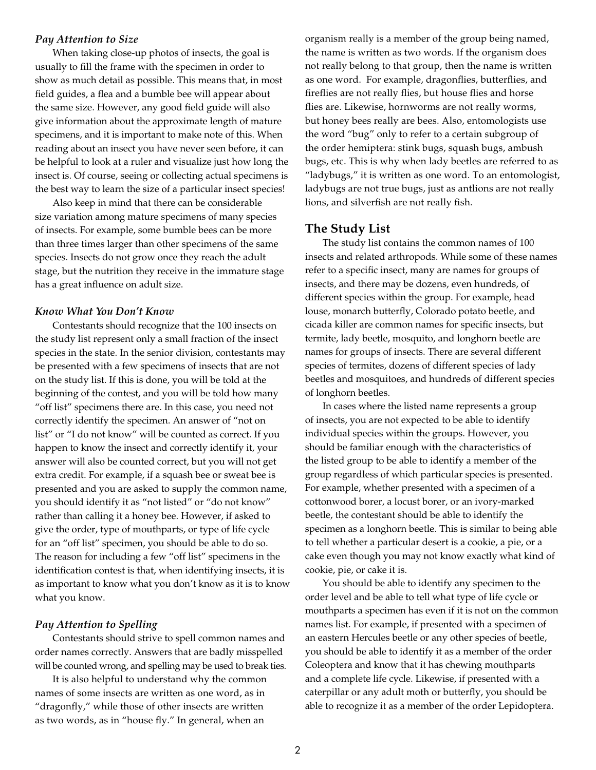#### *Pay Attention to Size*

When taking close-up photos of insects, the goal is usually to fill the frame with the specimen in order to show as much detail as possible. This means that, in most field guides, a flea and a bumble bee will appear about the same size. However, any good field guide will also give information about the approximate length of mature specimens, and it is important to make note of this. When reading about an insect you have never seen before, it can be helpful to look at a ruler and visualize just how long the insect is. Of course, seeing or collecting actual specimens is the best way to learn the size of a particular insect species!

Also keep in mind that there can be considerable size variation among mature specimens of many species of insects. For example, some bumble bees can be more than three times larger than other specimens of the same species. Insects do not grow once they reach the adult stage, but the nutrition they receive in the immature stage has a great influence on adult size.

#### *Know What You Don't Know*

Contestants should recognize that the 100 insects on the study list represent only a small fraction of the insect species in the state. In the senior division, contestants may be presented with a few specimens of insects that are not on the study list. If this is done, you will be told at the beginning of the contest, and you will be told how many "off list" specimens there are. In this case, you need not correctly identify the specimen. An answer of "not on list" or "I do not know" will be counted as correct. If you happen to know the insect and correctly identify it, your answer will also be counted correct, but you will not get extra credit. For example, if a squash bee or sweat bee is presented and you are asked to supply the common name, you should identify it as "not listed" or "do not know" rather than calling it a honey bee. However, if asked to give the order, type of mouthparts, or type of life cycle for an "off list" specimen, you should be able to do so. The reason for including a few "off list" specimens in the identification contest is that, when identifying insects, it is as important to know what you don't know as it is to know what you know.

#### *Pay Attention to Spelling*

Contestants should strive to spell common names and order names correctly. Answers that are badly misspelled will be counted wrong, and spelling may be used to break ties.

It is also helpful to understand why the common names of some insects are written as one word, as in "dragonfly," while those of other insects are written as two words, as in "house fly." In general, when an

organism really is a member of the group being named, the name is written as two words. If the organism does not really belong to that group, then the name is written as one word. For example, dragonflies, butterflies, and fireflies are not really flies, but house flies and horse flies are. Likewise, hornworms are not really worms, but honey bees really are bees. Also, entomologists use the word "bug" only to refer to a certain subgroup of the order hemiptera: stink bugs, squash bugs, ambush bugs, etc. This is why when lady beetles are referred to as "ladybugs," it is written as one word. To an entomologist, ladybugs are not true bugs, just as antlions are not really lions, and silverfish are not really fish.

#### **The Study List**

The study list contains the common names of 100 insects and related arthropods. While some of these names refer to a specific insect, many are names for groups of insects, and there may be dozens, even hundreds, of different species within the group. For example, head louse, monarch butterfly, Colorado potato beetle, and cicada killer are common names for specific insects, but termite, lady beetle, mosquito, and longhorn beetle are names for groups of insects. There are several different species of termites, dozens of different species of lady beetles and mosquitoes, and hundreds of different species of longhorn beetles.

In cases where the listed name represents a group of insects, you are not expected to be able to identify individual species within the groups. However, you should be familiar enough with the characteristics of the listed group to be able to identify a member of the group regardless of which particular species is presented. For example, whether presented with a specimen of a cottonwood borer, a locust borer, or an ivory-marked beetle, the contestant should be able to identify the specimen as a longhorn beetle. This is similar to being able to tell whether a particular desert is a cookie, a pie, or a cake even though you may not know exactly what kind of cookie, pie, or cake it is.

You should be able to identify any specimen to the order level and be able to tell what type of life cycle or mouthparts a specimen has even if it is not on the common names list. For example, if presented with a specimen of an eastern Hercules beetle or any other species of beetle, you should be able to identify it as a member of the order Coleoptera and know that it has chewing mouthparts and a complete life cycle. Likewise, if presented with a caterpillar or any adult moth or butterfly, you should be able to recognize it as a member of the order Lepidoptera.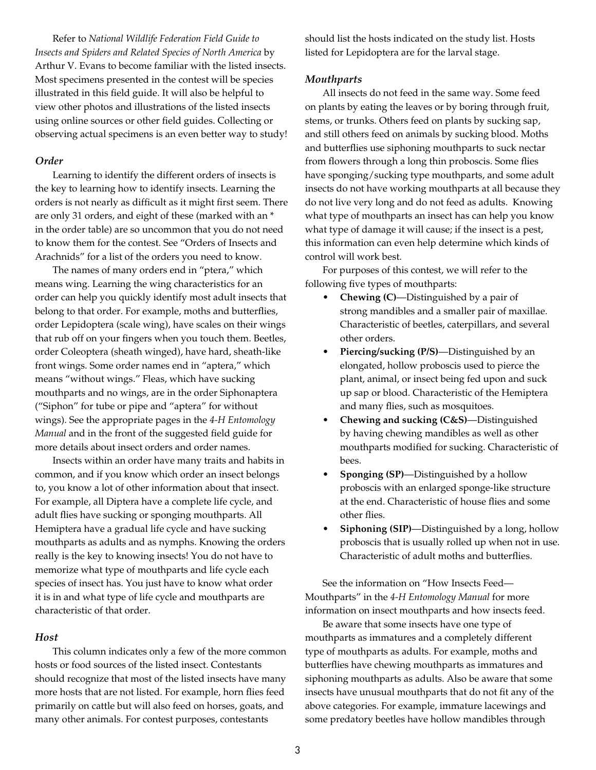Refer to *National Wildlife Federation Field Guide to Insects and Spiders and Related Species of North America* by Arthur V. Evans to become familiar with the listed insects. Most specimens presented in the contest will be species illustrated in this field guide. It will also be helpful to view other photos and illustrations of the listed insects using online sources or other field guides. Collecting or observing actual specimens is an even better way to study!

#### *Order*

Learning to identify the different orders of insects is the key to learning how to identify insects. Learning the orders is not nearly as difficult as it might first seem. There are only 31 orders, and eight of these (marked with an \* in the order table) are so uncommon that you do not need to know them for the contest. See "Orders of Insects and Arachnids" for a list of the orders you need to know.

The names of many orders end in "ptera," which means wing. Learning the wing characteristics for an order can help you quickly identify most adult insects that belong to that order. For example, moths and butterflies, order Lepidoptera (scale wing), have scales on their wings that rub off on your fingers when you touch them. Beetles, order Coleoptera (sheath winged), have hard, sheath-like front wings. Some order names end in "aptera," which means "without wings." Fleas, which have sucking mouthparts and no wings, are in the order Siphonaptera ("Siphon" for tube or pipe and "aptera" for without wings). See the appropriate pages in the *4-H Entomology Manual* and in the front of the suggested field guide for more details about insect orders and order names.

Insects within an order have many traits and habits in common, and if you know which order an insect belongs to, you know a lot of other information about that insect. For example, all Diptera have a complete life cycle, and adult flies have sucking or sponging mouthparts. All Hemiptera have a gradual life cycle and have sucking mouthparts as adults and as nymphs. Knowing the orders really is the key to knowing insects! You do not have to memorize what type of mouthparts and life cycle each species of insect has. You just have to know what order it is in and what type of life cycle and mouthparts are characteristic of that order.

#### *Host*

This column indicates only a few of the more common hosts or food sources of the listed insect. Contestants should recognize that most of the listed insects have many more hosts that are not listed. For example, horn flies feed primarily on cattle but will also feed on horses, goats, and many other animals. For contest purposes, contestants

should list the hosts indicated on the study list. Hosts listed for Lepidoptera are for the larval stage.

#### *Mouthparts*

All insects do not feed in the same way. Some feed on plants by eating the leaves or by boring through fruit, stems, or trunks. Others feed on plants by sucking sap, and still others feed on animals by sucking blood. Moths and butterflies use siphoning mouthparts to suck nectar from flowers through a long thin proboscis. Some flies have sponging/sucking type mouthparts, and some adult insects do not have working mouthparts at all because they do not live very long and do not feed as adults. Knowing what type of mouthparts an insect has can help you know what type of damage it will cause; if the insect is a pest, this information can even help determine which kinds of control will work best.

For purposes of this contest, we will refer to the following five types of mouthparts:

- **• Chewing (C)**—Distinguished by a pair of strong mandibles and a smaller pair of maxillae. Characteristic of beetles, caterpillars, and several other orders.
- **• Piercing/sucking (P/S)**—Distinguished by an elongated, hollow proboscis used to pierce the plant, animal, or insect being fed upon and suck up sap or blood. Characteristic of the Hemiptera and many flies, such as mosquitoes.
- **• Chewing and sucking (C&S)**—Distinguished by having chewing mandibles as well as other mouthparts modified for sucking. Characteristic of bees.
- **• Sponging (SP)**—Distinguished by a hollow proboscis with an enlarged sponge-like structure at the end. Characteristic of house flies and some other flies.
- **• Siphoning (SIP)**—Distinguished by a long, hollow proboscis that is usually rolled up when not in use. Characteristic of adult moths and butterflies.

See the information on "How Insects Feed— Mouthparts" in the *4-H Entomology Manual* for more information on insect mouthparts and how insects feed.

Be aware that some insects have one type of mouthparts as immatures and a completely different type of mouthparts as adults. For example, moths and butterflies have chewing mouthparts as immatures and siphoning mouthparts as adults. Also be aware that some insects have unusual mouthparts that do not fit any of the above categories. For example, immature lacewings and some predatory beetles have hollow mandibles through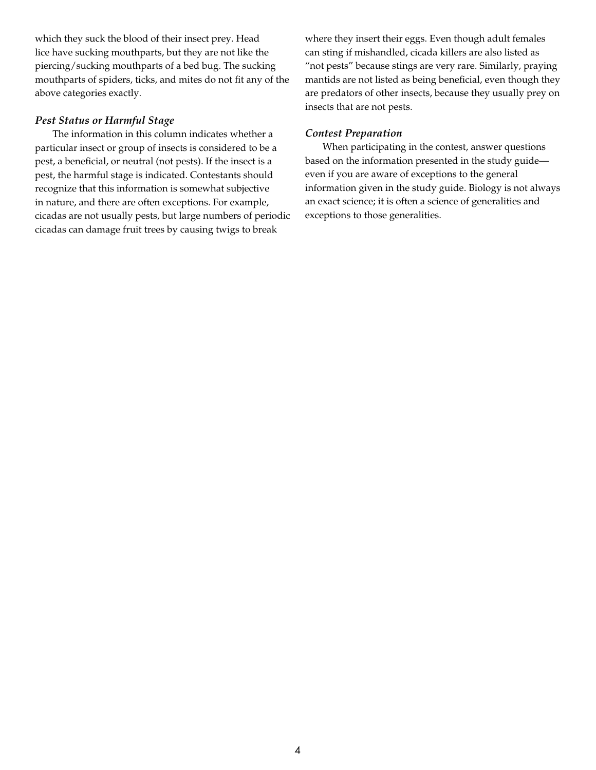which they suck the blood of their insect prey. Head lice have sucking mouthparts, but they are not like the piercing/sucking mouthparts of a bed bug. The sucking mouthparts of spiders, ticks, and mites do not fit any of the above categories exactly.

#### *Pest Status or Harmful Stage*

The information in this column indicates whether a particular insect or group of insects is considered to be a pest, a beneficial, or neutral (not pests). If the insect is a pest, the harmful stage is indicated. Contestants should recognize that this information is somewhat subjective in nature, and there are often exceptions. For example, cicadas are not usually pests, but large numbers of periodic cicadas can damage fruit trees by causing twigs to break

where they insert their eggs. Even though adult females can sting if mishandled, cicada killers are also listed as "not pests" because stings are very rare. Similarly, praying mantids are not listed as being beneficial, even though they are predators of other insects, because they usually prey on insects that are not pests.

### *Contest Preparation*

When participating in the contest, answer questions based on the information presented in the study guide even if you are aware of exceptions to the general information given in the study guide. Biology is not always an exact science; it is often a science of generalities and exceptions to those generalities.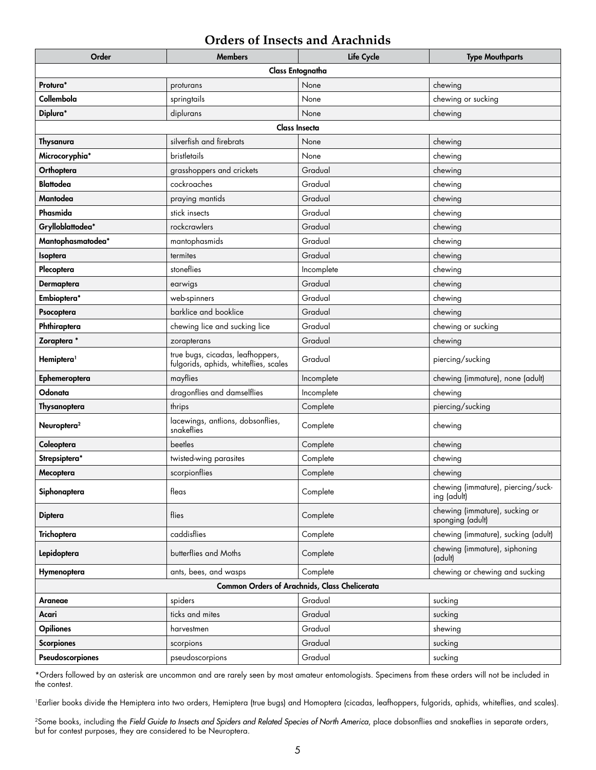# **Orders of Insects and Arachnids**

| Order                                         | <b>Members</b>                                                            | Life Cycle | <b>Type Mouthparts</b>                             |  |  |  |
|-----------------------------------------------|---------------------------------------------------------------------------|------------|----------------------------------------------------|--|--|--|
| Class Entognatha                              |                                                                           |            |                                                    |  |  |  |
| Protura*                                      | proturans                                                                 | None       | chewing                                            |  |  |  |
| Collembola                                    | springtails                                                               | None       | chewing or sucking                                 |  |  |  |
| Diplura*                                      | diplurans                                                                 | None       | chewing                                            |  |  |  |
| <b>Class Insecta</b>                          |                                                                           |            |                                                    |  |  |  |
| Thysanura                                     | silverfish and firebrats                                                  | None       | chewing                                            |  |  |  |
| Microcoryphia*                                | bristletails                                                              | None       | chewing                                            |  |  |  |
| Orthoptera                                    | grasshoppers and crickets                                                 | Gradual    | chewing                                            |  |  |  |
| <b>Blattodea</b>                              | cockroaches                                                               | Gradual    | chewing                                            |  |  |  |
| Mantodea                                      | praying mantids                                                           | Gradual    | chewing                                            |  |  |  |
| Phasmida                                      | stick insects                                                             | Gradual    | chewing                                            |  |  |  |
| Grylloblattodea*                              | rockcrawlers                                                              | Gradual    | chewing                                            |  |  |  |
| Mantophasmatodea*                             | mantophasmids                                                             | Gradual    | chewing                                            |  |  |  |
| Isoptera                                      | termites                                                                  | Gradual    | chewing                                            |  |  |  |
| Plecoptera                                    | stoneflies                                                                | Incomplete | chewing                                            |  |  |  |
| Dermaptera                                    | earwigs                                                                   | Gradual    | chewing                                            |  |  |  |
| Embioptera*                                   | web-spinners                                                              | Gradual    | chewing                                            |  |  |  |
| Psocoptera                                    | barklice and booklice                                                     | Gradual    | chewing                                            |  |  |  |
| Phthiraptera                                  | chewing lice and sucking lice                                             | Gradual    | chewing or sucking                                 |  |  |  |
| Zoraptera *                                   | zorapterans                                                               | Gradual    | chewing                                            |  |  |  |
| Hemiptera <sup>1</sup>                        | true bugs, cicadas, leafhoppers,<br>fulgorids, aphids, whiteflies, scales | Gradual    | piercing/sucking                                   |  |  |  |
| Ephemeroptera                                 | mayflies                                                                  | Incomplete | chewing (immature), none (adult)                   |  |  |  |
| Odonata                                       | dragonflies and damselflies                                               | Incomplete | chewing                                            |  |  |  |
| Thysanoptera                                  | thrips                                                                    | Complete   | piercing/sucking                                   |  |  |  |
| Neuroptera <sup>2</sup>                       | lacewings, antlions, dobsonflies,<br>snakeflies                           | Complete   | chewing                                            |  |  |  |
| Coleoptera                                    | beetles                                                                   | Complete   | chewing                                            |  |  |  |
| Strepsiptera*                                 | twisted-wing parasites                                                    | Complete   | chewing                                            |  |  |  |
| Mecoptera                                     | scorpionflies                                                             | Complete   | chewing                                            |  |  |  |
| Siphonaptera                                  | fleas                                                                     | Complete   | chewing (immature), piercing/suck-<br>ing (adult)  |  |  |  |
| <b>Diptera</b>                                | flies                                                                     | Complete   | chewing (immature), sucking or<br>sponging (adult) |  |  |  |
| Trichoptera                                   | caddisflies                                                               | Complete   | chewing (immature), sucking (adult)                |  |  |  |
| Lepidoptera                                   | butterflies and Moths                                                     | Complete   | chewing (immature), siphoning<br>(adult)           |  |  |  |
| Hymenoptera                                   | ants, bees, and wasps                                                     | Complete   | chewing or chewing and sucking                     |  |  |  |
| Common Orders of Arachnids, Class Chelicerata |                                                                           |            |                                                    |  |  |  |
| Araneae                                       | spiders                                                                   | Gradual    | sucking                                            |  |  |  |
| Acari                                         | ticks and mites                                                           | Gradual    | sucking                                            |  |  |  |
| <b>Opiliones</b>                              | harvestmen                                                                | Gradual    | shewing                                            |  |  |  |
| <b>Scorpiones</b>                             | scorpions                                                                 | Gradual    | sucking                                            |  |  |  |
| Pseudoscorpiones                              | pseudoscorpions                                                           | Gradual    | sucking                                            |  |  |  |

\*Orders followed by an asterisk are uncommon and are rarely seen by most amateur entomologists. Specimens from these orders will not be included in the contest.

<sup>1</sup>Earlier books divide the Hemiptera into two orders, Hemiptera (true bugs) and Homoptera (cicadas, leafhoppers, fulgorids, aphids, whiteflies, and scales).

<sup>2</sup>Some books, including the *Field Guide to Insects and Spiders and Related Species of North America*, place dobsonflies and snakeflies in separate orders, but for contest purposes, they are considered to be Neuroptera.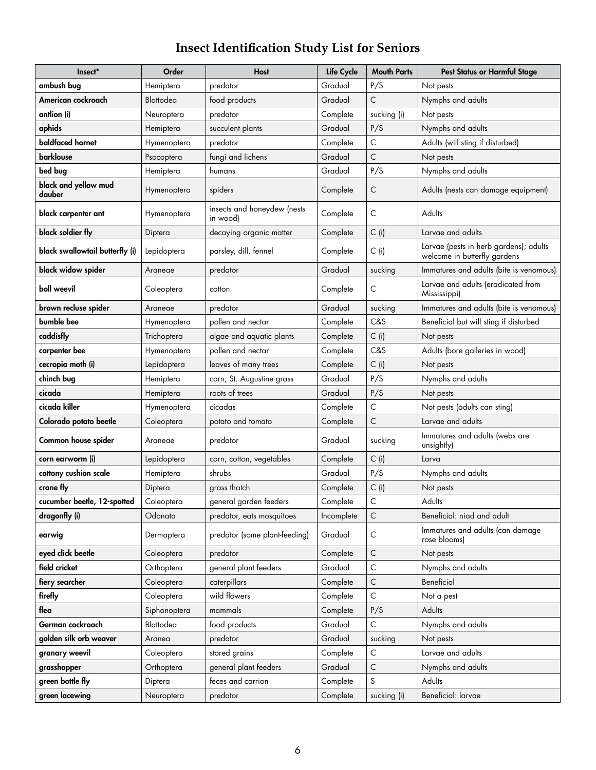# **Insect Identification Study List for Seniors**

| Insect*                         | Order        | <b>Host</b>                             | Life Cycle | <b>Mouth Parts</b> | <b>Pest Status or Harmful Stage</b>                                    |
|---------------------------------|--------------|-----------------------------------------|------------|--------------------|------------------------------------------------------------------------|
| ambush bug                      | Hemiptera    | predator                                | Gradual    | P/S                | Not pests                                                              |
| American cockroach              | Blattodea    | food products                           | Gradual    | C                  | Nymphs and adults                                                      |
| antlion (i)                     | Neuroptera   | predator                                | Complete   | sucking (i)        | Not pests                                                              |
| aphids                          | Hemiptera    | succulent plants                        | Gradual    | P/S                | Nymphs and adults                                                      |
| baldfaced hornet                | Hymenoptera  | predator                                | Complete   | С                  | Adults (will sting if disturbed)                                       |
| <b>barklouse</b>                | Psocoptera   | fungi and lichens                       | Gradual    | C                  | Not pests                                                              |
| bed bug                         | Hemiptera    | humans                                  | Gradual    | P/S                | Nymphs and adults                                                      |
| black and yellow mud<br>dauber  | Hymenoptera  | spiders                                 | Complete   | С                  | Adults (nests can damage equipment)                                    |
| black carpenter ant             | Hymenoptera  | insects and honeydew (nests<br>in wood) | Complete   | C                  | Adults                                                                 |
| black soldier fly               | Diptera      | decaying organic matter                 | Complete   | $C$ (i)            | Larvae and adults                                                      |
| black swallowtail butterfly (i) | Lepidoptera  | parsley, dill, fennel                   | Complete   | $C$ (i)            | Larvae (pests in herb gardens); adults<br>welcome in butterfly gardens |
| black widow spider              | Araneae      | predator                                | Gradual    | sucking            | Immatures and adults (bite is venomous)                                |
| boll weevil                     | Coleoptera   | cotton                                  | Complete   | C                  | Larvae and adults (eradicated from<br>Mississippi)                     |
| brown recluse spider            | Araneae      | predator                                | Gradual    | sucking            | Immatures and adults (bite is venomous)                                |
| bumble bee                      | Hymenoptera  | pollen and nectar                       | Complete   | C&S                | Beneficial but will sting if disturbed                                 |
| caddisfly                       | Trichoptera  | algae and aquatic plants                | Complete   | $C$ (i)            | Not pests                                                              |
| carpenter bee                   | Hymenoptera  | pollen and nectar                       | Complete   | C&S                | Adults (bore galleries in wood)                                        |
| cecropia moth (i)               | Lepidoptera  | leaves of many trees                    | Complete   | $C$ (i)            | Not pests                                                              |
| chinch bug                      | Hemiptera    | corn, St. Augustine grass               | Gradual    | P/S                | Nymphs and adults                                                      |
| cicada                          | Hemiptera    | roots of trees                          | Gradual    | P/S                | Not pests                                                              |
| cicada killer                   | Hymenoptera  | cicadas                                 | Complete   | C                  | Not pests (adults can sting)                                           |
| Colorado potato beetle          | Coleoptera   | potato and tomato                       | Complete   | C                  | Larvae and adults                                                      |
| Common house spider             | Araneae      | predator                                | Gradual    | sucking            | Immatures and adults (webs are<br>unsightly)                           |
| corn earworm (i)                | Lepidoptera  | corn, cotton, vegetables                | Complete   | $C$ (i)            | Larva                                                                  |
| cottony cushion scale           | Hemiptera    | shrubs                                  | Gradual    | P/S                | Nymphs and adults                                                      |
| crane fly                       | Diptera      | grass thatch                            | Complete   | $C$ (i)            | Not pests                                                              |
| cucumber beetle, 12-spotted     | Coleoptera   | general garden feeders                  | Complete   | C                  | Adults                                                                 |
| dragonfly (i)                   | Odonata      | predator, eats mosquitoes               | Incomplete | C                  | Beneficial: niad and adult                                             |
| earwig                          | Dermaptera   | predator (some plant-feeding)           | Gradual    | С                  | Immatures and adults (can damage<br>rose blooms)                       |
| eyed click beetle               | Coleoptera   | predator                                | Complete   | $\mathsf C$        | Not pests                                                              |
| field cricket                   | Orthoptera   | general plant feeders                   | Gradual    | C                  | Nymphs and adults                                                      |
| fiery searcher                  | Coleoptera   | caterpillars                            | Complete   | $\mathsf{C}$       | Beneficial                                                             |
| firefly                         | Coleoptera   | wild flowers                            | Complete   | C                  | Not a pest                                                             |
| flea                            | Siphonoptera | mammals                                 | Complete   | P/S                | Adults                                                                 |
| German cockroach                | Blattodea    | food products                           | Gradual    | C                  | Nymphs and adults                                                      |
| golden silk orb weaver          | Aranea       | predator                                | Gradual    | sucking            | Not pests                                                              |
| granary weevil                  | Coleoptera   | stored grains                           | Complete   | С                  | Larvae and adults                                                      |
| grasshopper                     | Orthoptera   | general plant feeders                   | Gradual    | C                  | Nymphs and adults                                                      |
| green bottle fly                | Diptera      | feces and carrion                       | Complete   | S                  | Adults                                                                 |
| green lacewing                  | Neuroptera   | predator                                | Complete   | sucking (i)        | Beneficial: larvae                                                     |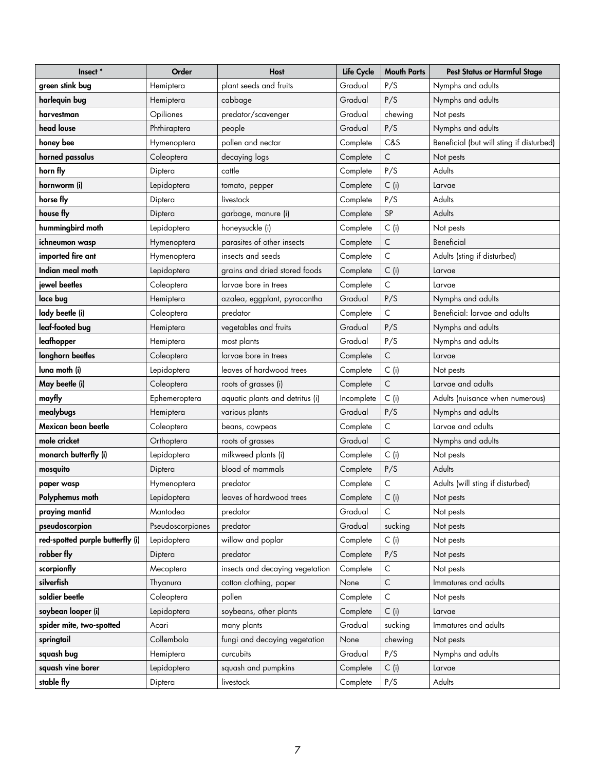| Insect*                          | Order            | <b>Host</b>                     | Life Cycle | <b>Mouth Parts</b> | <b>Pest Status or Harmful Stage</b>      |
|----------------------------------|------------------|---------------------------------|------------|--------------------|------------------------------------------|
| green stink bug                  | Hemiptera        | plant seeds and fruits          | Gradual    | P/S                | Nymphs and adults                        |
| harlequin bug                    | Hemiptera        | cabbage                         | Gradual    | P/S                | Nymphs and adults                        |
| harvestman                       | Opiliones        | predator/scavenger              | Gradual    | chewing            | Not pests                                |
| head louse                       | Phthiraptera     | people                          | Gradual    | P/S                | Nymphs and adults                        |
| honey bee                        | Hymenoptera      | pollen and nectar               | Complete   | C&S                | Beneficial (but will sting if disturbed) |
| horned passalus                  | Coleoptera       | decaying logs                   | Complete   | $\mathsf C$        | Not pests                                |
| horn fly                         | Diptera          | cattle                          | Complete   | P/S                | Adults                                   |
| hornworm (i)                     | Lepidoptera      | tomato, pepper                  | Complete   | $C$ (i)            | Larvae                                   |
| horse fly                        | Diptera          | livestock                       | Complete   | P/S                | Adults                                   |
| house fly                        | Diptera          | garbage, manure (i)             | Complete   | SP                 | Adults                                   |
| hummingbird moth                 | Lepidoptera      | honeysuckle (i)                 | Complete   | $C$ (i)            | Not pests                                |
| ichneumon wasp                   | Hymenoptera      | parasites of other insects      | Complete   | $\mathsf C$        | Beneficial                               |
| imported fire ant                | Hymenoptera      | insects and seeds               | Complete   | $\mathsf C$        | Adults (sting if disturbed)              |
| Indian meal moth                 | Lepidoptera      | grains and dried stored foods   | Complete   | $C$ (i)            | Larvae                                   |
| jewel beetles                    | Coleoptera       | larvae bore in trees            | Complete   | $\mathsf C$        | Larvae                                   |
| lace bug                         | Hemiptera        | azalea, eggplant, pyracantha    | Gradual    | P/S                | Nymphs and adults                        |
| lady beetle (i)                  | Coleoptera       | predator                        | Complete   | C                  | Beneficial: larvae and adults            |
| leaf-footed bug                  | Hemiptera        | vegetables and fruits           | Gradual    | P/S                | Nymphs and adults                        |
| leafhopper                       | Hemiptera        | most plants                     | Gradual    | P/S                | Nymphs and adults                        |
| longhorn beetles                 | Coleoptera       | larvae bore in trees            | Complete   | $\mathsf C$        | Larvae                                   |
| luna moth (i)                    | Lepidoptera      | leaves of hardwood trees        | Complete   | $C$ (i)            | Not pests                                |
| May beetle (i)                   | Coleoptera       | roots of grasses (i)            | Complete   | C                  | Larvae and adults                        |
| mayfly                           | Ephemeroptera    | aquatic plants and detritus (i) | Incomplete | $C$ (i)            | Adults (nuisance when numerous)          |
| mealybugs                        | Hemiptera        | various plants                  | Gradual    | P/S                | Nymphs and adults                        |
| Mexican bean beetle              | Coleoptera       | beans, cowpeas                  | Complete   | C                  | Larvae and adults                        |
| mole cricket                     | Orthoptera       | roots of grasses                | Gradual    | C                  | Nymphs and adults                        |
| monarch butterfly (i)            | Lepidoptera      | milkweed plants (i)             | Complete   | $C$ (i)            | Not pests                                |
| mosquito                         | Diptera          | blood of mammals                | Complete   | P/S                | Adults                                   |
| paper wasp                       | Hymenoptera      | predator                        | Complete   | $\mathsf C$        | Adults (will sting if disturbed)         |
| Polyphemus moth                  | Lepidoptera      | leaves of hardwood trees        | Complete   | $C$ (i)            | Not pests                                |
| praying mantid                   | Mantodea         | predator                        | Gradual    | C                  | Not pests                                |
| pseudoscorpion                   | Pseudoscorpiones | predator                        | Gradual    | sucking            | Not pests                                |
| red-spotted purple butterfly (i) | Lepidoptera      | willow and poplar               | Complete   | $C$ (i)            | Not pests                                |
| robber fly                       | Diptera          | predator                        | Complete   | P/S                | Not pests                                |
| scorpionfly                      | Mecoptera        | insects and decaying vegetation | Complete   | $\mathsf C$        | Not pests                                |
| silverfish                       | Thyanura         | cotton clothing, paper          | None       | $\mathsf C$        | Immatures and adults                     |
| soldier beetle                   | Coleoptera       | pollen                          | Complete   | $\mathsf C$        | Not pests                                |
| soybean looper (i)               | Lepidoptera      | soybeans, other plants          | Complete   | $C$ (i)            | Larvae                                   |
| spider mite, two-spotted         | Acari            | many plants                     | Gradual    | sucking            | Immatures and adults                     |
| springtail                       | Collembola       | fungi and decaying vegetation   | None       | chewing            | Not pests                                |
| squash bug                       | Hemiptera        | curcubits                       | Gradual    | P/S                | Nymphs and adults                        |
| squash vine borer                | Lepidoptera      | squash and pumpkins             | Complete   | $C$ (i)            | Larvae                                   |
| stable fly                       | Diptera          | livestock                       | Complete   | P/S                | Adults                                   |